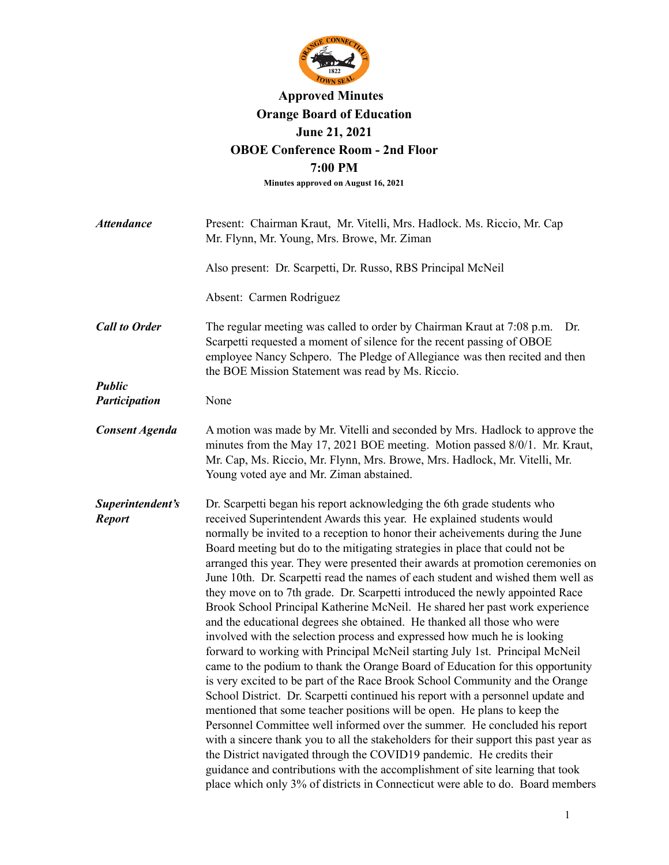

## **Approved Minutes Orange Board of Education June 21, 2021 OBOE Conference Room - 2nd Floor 7:00 PM**

**Minutes approved on August 16, 2021**

| <b>Attendance</b>                     | Present: Chairman Kraut, Mr. Vitelli, Mrs. Hadlock. Ms. Riccio, Mr. Cap<br>Mr. Flynn, Mr. Young, Mrs. Browe, Mr. Ziman                                                                                                                                                                                                                                                                                                                                                                                                                                                                                                                                                                                                                                                                                                                                                                                                                                                                                                                                                                                                                                                                                                                                                                                                                                                                                                                                                                                                                                                                                                                            |
|---------------------------------------|---------------------------------------------------------------------------------------------------------------------------------------------------------------------------------------------------------------------------------------------------------------------------------------------------------------------------------------------------------------------------------------------------------------------------------------------------------------------------------------------------------------------------------------------------------------------------------------------------------------------------------------------------------------------------------------------------------------------------------------------------------------------------------------------------------------------------------------------------------------------------------------------------------------------------------------------------------------------------------------------------------------------------------------------------------------------------------------------------------------------------------------------------------------------------------------------------------------------------------------------------------------------------------------------------------------------------------------------------------------------------------------------------------------------------------------------------------------------------------------------------------------------------------------------------------------------------------------------------------------------------------------------------|
|                                       | Also present: Dr. Scarpetti, Dr. Russo, RBS Principal McNeil                                                                                                                                                                                                                                                                                                                                                                                                                                                                                                                                                                                                                                                                                                                                                                                                                                                                                                                                                                                                                                                                                                                                                                                                                                                                                                                                                                                                                                                                                                                                                                                      |
|                                       | Absent: Carmen Rodriguez                                                                                                                                                                                                                                                                                                                                                                                                                                                                                                                                                                                                                                                                                                                                                                                                                                                                                                                                                                                                                                                                                                                                                                                                                                                                                                                                                                                                                                                                                                                                                                                                                          |
| <b>Call to Order</b>                  | The regular meeting was called to order by Chairman Kraut at 7:08 p.m.<br>Dr.<br>Scarpetti requested a moment of silence for the recent passing of OBOE<br>employee Nancy Schpero. The Pledge of Allegiance was then recited and then<br>the BOE Mission Statement was read by Ms. Riccio.                                                                                                                                                                                                                                                                                                                                                                                                                                                                                                                                                                                                                                                                                                                                                                                                                                                                                                                                                                                                                                                                                                                                                                                                                                                                                                                                                        |
| <b>Public</b><br><b>Participation</b> | None                                                                                                                                                                                                                                                                                                                                                                                                                                                                                                                                                                                                                                                                                                                                                                                                                                                                                                                                                                                                                                                                                                                                                                                                                                                                                                                                                                                                                                                                                                                                                                                                                                              |
|                                       |                                                                                                                                                                                                                                                                                                                                                                                                                                                                                                                                                                                                                                                                                                                                                                                                                                                                                                                                                                                                                                                                                                                                                                                                                                                                                                                                                                                                                                                                                                                                                                                                                                                   |
| Consent Agenda                        | A motion was made by Mr. Vitelli and seconded by Mrs. Hadlock to approve the<br>minutes from the May 17, 2021 BOE meeting. Motion passed 8/0/1. Mr. Kraut,<br>Mr. Cap, Ms. Riccio, Mr. Flynn, Mrs. Browe, Mrs. Hadlock, Mr. Vitelli, Mr.<br>Young voted aye and Mr. Ziman abstained.                                                                                                                                                                                                                                                                                                                                                                                                                                                                                                                                                                                                                                                                                                                                                                                                                                                                                                                                                                                                                                                                                                                                                                                                                                                                                                                                                              |
| Superintendent's<br><b>Report</b>     | Dr. Scarpetti began his report acknowledging the 6th grade students who<br>received Superintendent Awards this year. He explained students would<br>normally be invited to a reception to honor their acheivements during the June<br>Board meeting but do to the mitigating strategies in place that could not be<br>arranged this year. They were presented their awards at promotion ceremonies on<br>June 10th. Dr. Scarpetti read the names of each student and wished them well as<br>they move on to 7th grade. Dr. Scarpetti introduced the newly appointed Race<br>Brook School Principal Katherine McNeil. He shared her past work experience<br>and the educational degrees she obtained. He thanked all those who were<br>involved with the selection process and expressed how much he is looking<br>forward to working with Principal McNeil starting July 1st. Principal McNeil<br>came to the podium to thank the Orange Board of Education for this opportunity<br>is very excited to be part of the Race Brook School Community and the Orange<br>School District. Dr. Scarpetti continued his report with a personnel update and<br>mentioned that some teacher positions will be open. He plans to keep the<br>Personnel Committee well informed over the summer. He concluded his report<br>with a sincere thank you to all the stakeholders for their support this past year as<br>the District navigated through the COVID19 pandemic. He credits their<br>guidance and contributions with the accomplishment of site learning that took<br>place which only 3% of districts in Connecticut were able to do. Board members |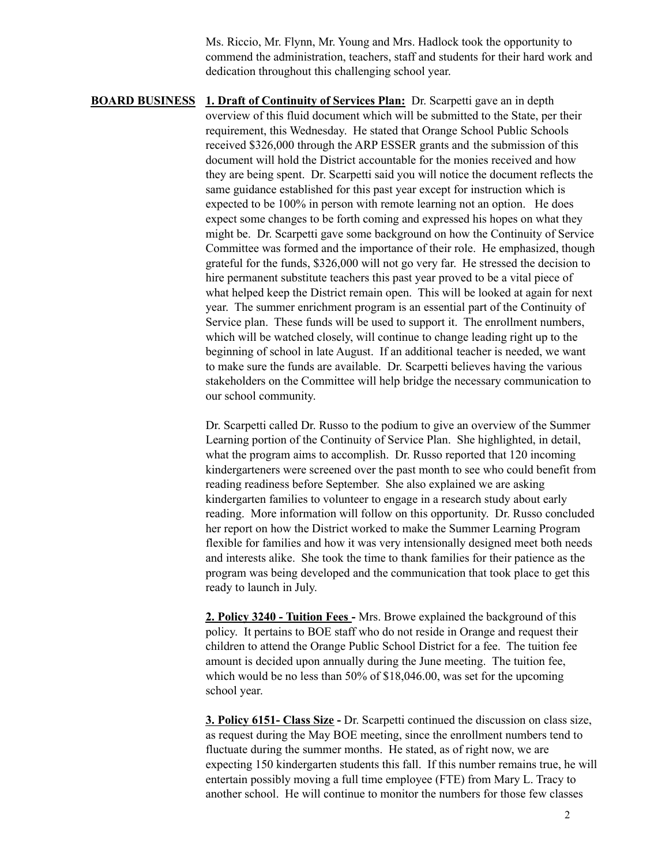Ms. Riccio, Mr. Flynn, Mr. Young and Mrs. Hadlock took the opportunity to commend the administration, teachers, staff and students for their hard work and dedication throughout this challenging school year.

**BOARD BUSINESS 1. Draft of Continuity of Services Plan:** Dr. Scarpetti gave an in depth overview of this fluid document which will be submitted to the State, per their requirement, this Wednesday. He stated that Orange School Public Schools received \$326,000 through the ARP ESSER grants and the submission of this document will hold the District accountable for the monies received and how they are being spent. Dr. Scarpetti said you will notice the document reflects the same guidance established for this past year except for instruction which is expected to be 100% in person with remote learning not an option. He does expect some changes to be forth coming and expressed his hopes on what they might be. Dr. Scarpetti gave some background on how the Continuity of Service Committee was formed and the importance of their role. He emphasized, though grateful for the funds, \$326,000 will not go very far. He stressed the decision to hire permanent substitute teachers this past year proved to be a vital piece of what helped keep the District remain open. This will be looked at again for next year. The summer enrichment program is an essential part of the Continuity of Service plan. These funds will be used to support it. The enrollment numbers, which will be watched closely, will continue to change leading right up to the beginning of school in late August. If an additional teacher is needed, we want to make sure the funds are available. Dr. Scarpetti believes having the various stakeholders on the Committee will help bridge the necessary communication to our school community.

> Dr. Scarpetti called Dr. Russo to the podium to give an overview of the Summer Learning portion of the Continuity of Service Plan. She highlighted, in detail, what the program aims to accomplish. Dr. Russo reported that 120 incoming kindergarteners were screened over the past month to see who could benefit from reading readiness before September. She also explained we are asking kindergarten families to volunteer to engage in a research study about early reading. More information will follow on this opportunity. Dr. Russo concluded her report on how the District worked to make the Summer Learning Program flexible for families and how it was very intensionally designed meet both needs and interests alike. She took the time to thank families for their patience as the program was being developed and the communication that took place to get this ready to launch in July.

**2. Policy 3240 - Tuition Fees -** Mrs. Browe explained the background of this policy. It pertains to BOE staff who do not reside in Orange and request their children to attend the Orange Public School District for a fee. The tuition fee amount is decided upon annually during the June meeting. The tuition fee, which would be no less than 50% of \$18,046.00, was set for the upcoming school year.

**3. Policy 6151- Class Size -** Dr. Scarpetti continued the discussion on class size, as request during the May BOE meeting, since the enrollment numbers tend to fluctuate during the summer months. He stated, as of right now, we are expecting 150 kindergarten students this fall. If this number remains true, he will entertain possibly moving a full time employee (FTE) from Mary L. Tracy to another school. He will continue to monitor the numbers for those few classes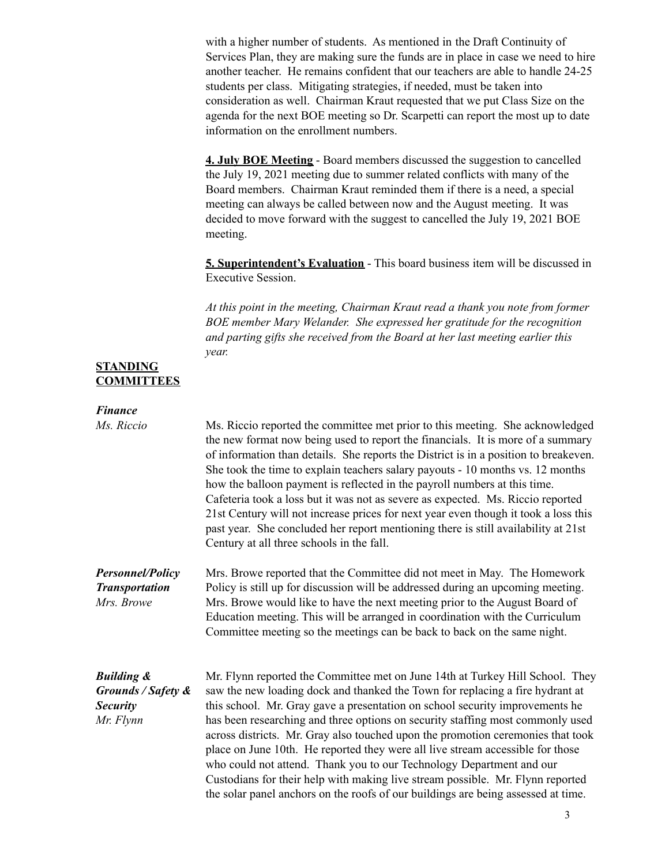with a higher number of students. As mentioned in the Draft Continuity of Services Plan, they are making sure the funds are in place in case we need to hire another teacher. He remains confident that our teachers are able to handle 24-25 students per class. Mitigating strategies, if needed, must be taken into consideration as well. Chairman Kraut requested that we put Class Size on the agenda for the next BOE meeting so Dr. Scarpetti can report the most up to date information on the enrollment numbers.

**4. July BOE Meeting** - Board members discussed the suggestion to cancelled the July 19, 2021 meeting due to summer related conflicts with many of the Board members. Chairman Kraut reminded them if there is a need, a special meeting can always be called between now and the August meeting. It was decided to move forward with the suggest to cancelled the July 19, 2021 BOE meeting.

**5. Superintendent's Evaluation** - This board business item will be discussed in Executive Session.

*At this point in the meeting, Chairman Kraut read a thank you note from former BOE member Mary Welander. She expressed her gratitude for the recognition and parting gifts she received from the Board at her last meeting earlier this year.*

## **STANDING COMMITTEES**

| <b>Finance</b>                                                              |                                                                                                                                                                                                                                                                                                                                                                                                                                                                                                                                                                                                                                                                                                                                                      |
|-----------------------------------------------------------------------------|------------------------------------------------------------------------------------------------------------------------------------------------------------------------------------------------------------------------------------------------------------------------------------------------------------------------------------------------------------------------------------------------------------------------------------------------------------------------------------------------------------------------------------------------------------------------------------------------------------------------------------------------------------------------------------------------------------------------------------------------------|
| Ms. Riccio                                                                  | Ms. Riccio reported the committee met prior to this meeting. She acknowledged<br>the new format now being used to report the financials. It is more of a summary<br>of information than details. She reports the District is in a position to breakeven.<br>She took the time to explain teachers salary payouts - 10 months vs. 12 months<br>how the balloon payment is reflected in the payroll numbers at this time.<br>Cafeteria took a loss but it was not as severe as expected. Ms. Riccio reported<br>21st Century will not increase prices for next year even though it took a loss this<br>past year. She concluded her report mentioning there is still availability at 21st<br>Century at all three schools in the fall.                 |
| <b>Personnel/Policy</b><br><b>Transportation</b><br>Mrs. Browe              | Mrs. Browe reported that the Committee did not meet in May. The Homework<br>Policy is still up for discussion will be addressed during an upcoming meeting.<br>Mrs. Browe would like to have the next meeting prior to the August Board of<br>Education meeting. This will be arranged in coordination with the Curriculum<br>Committee meeting so the meetings can be back to back on the same night.                                                                                                                                                                                                                                                                                                                                               |
| <b>Building &amp;</b><br>Grounds / Safety &<br><b>Security</b><br>Mr. Flynn | Mr. Flynn reported the Committee met on June 14th at Turkey Hill School. They<br>saw the new loading dock and thanked the Town for replacing a fire hydrant at<br>this school. Mr. Gray gave a presentation on school security improvements he<br>has been researching and three options on security staffing most commonly used<br>across districts. Mr. Gray also touched upon the promotion ceremonies that took<br>place on June 10th. He reported they were all live stream accessible for those<br>who could not attend. Thank you to our Technology Department and our<br>Custodians for their help with making live stream possible. Mr. Flynn reported<br>the solar panel anchors on the roofs of our buildings are being assessed at time. |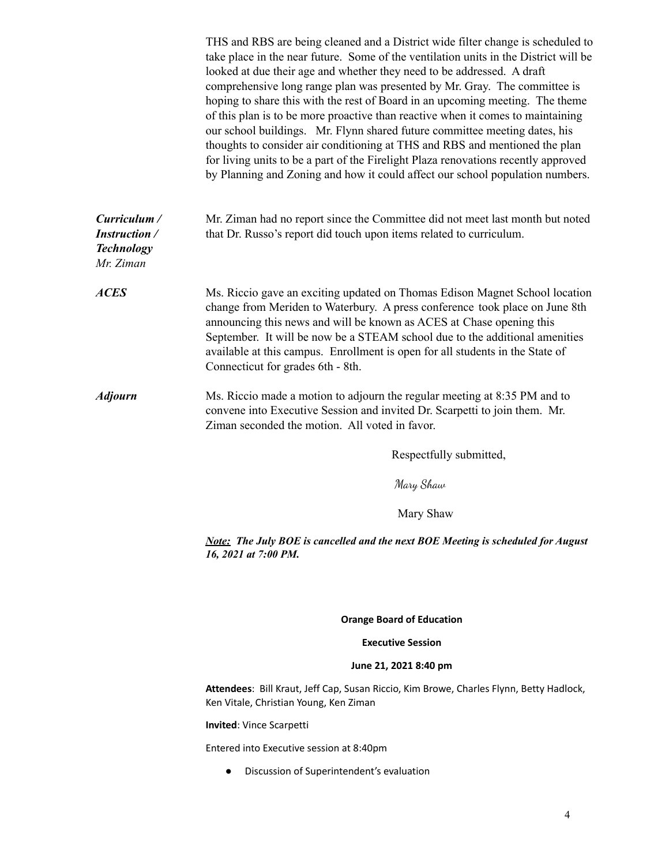|                                                                        | THS and RBS are being cleaned and a District wide filter change is scheduled to<br>take place in the near future. Some of the ventilation units in the District will be<br>looked at due their age and whether they need to be addressed. A draft<br>comprehensive long range plan was presented by Mr. Gray. The committee is<br>hoping to share this with the rest of Board in an upcoming meeting. The theme<br>of this plan is to be more proactive than reactive when it comes to maintaining<br>our school buildings. Mr. Flynn shared future committee meeting dates, his<br>thoughts to consider air conditioning at THS and RBS and mentioned the plan<br>for living units to be a part of the Firelight Plaza renovations recently approved<br>by Planning and Zoning and how it could affect our school population numbers. |
|------------------------------------------------------------------------|----------------------------------------------------------------------------------------------------------------------------------------------------------------------------------------------------------------------------------------------------------------------------------------------------------------------------------------------------------------------------------------------------------------------------------------------------------------------------------------------------------------------------------------------------------------------------------------------------------------------------------------------------------------------------------------------------------------------------------------------------------------------------------------------------------------------------------------|
| Curriculum /<br><b>Instruction</b> /<br><b>Technology</b><br>Mr. Ziman | Mr. Ziman had no report since the Committee did not meet last month but noted<br>that Dr. Russo's report did touch upon items related to curriculum.                                                                                                                                                                                                                                                                                                                                                                                                                                                                                                                                                                                                                                                                                   |
| <b>ACES</b>                                                            | Ms. Riccio gave an exciting updated on Thomas Edison Magnet School location<br>change from Meriden to Waterbury. A press conference took place on June 8th<br>announcing this news and will be known as ACES at Chase opening this<br>September. It will be now be a STEAM school due to the additional amenities<br>available at this campus. Enrollment is open for all students in the State of<br>Connecticut for grades 6th - 8th.                                                                                                                                                                                                                                                                                                                                                                                                |
| <b>Adjourn</b>                                                         | Ms. Riccio made a motion to adjourn the regular meeting at 8:35 PM and to<br>convene into Executive Session and invited Dr. Scarpetti to join them. Mr.<br>Ziman seconded the motion. All voted in favor.                                                                                                                                                                                                                                                                                                                                                                                                                                                                                                                                                                                                                              |
|                                                                        | Respectfully submitted,                                                                                                                                                                                                                                                                                                                                                                                                                                                                                                                                                                                                                                                                                                                                                                                                                |
|                                                                        | Mary Shaw                                                                                                                                                                                                                                                                                                                                                                                                                                                                                                                                                                                                                                                                                                                                                                                                                              |
|                                                                        | Mary Shaw                                                                                                                                                                                                                                                                                                                                                                                                                                                                                                                                                                                                                                                                                                                                                                                                                              |
|                                                                        | <b>Note:</b> The July BOE is cancelled and the next BOE Meeting is scheduled for August<br>16, 2021 at 7:00 PM.                                                                                                                                                                                                                                                                                                                                                                                                                                                                                                                                                                                                                                                                                                                        |
|                                                                        | <b>Orange Board of Education</b>                                                                                                                                                                                                                                                                                                                                                                                                                                                                                                                                                                                                                                                                                                                                                                                                       |
|                                                                        | <b>Executive Session</b>                                                                                                                                                                                                                                                                                                                                                                                                                                                                                                                                                                                                                                                                                                                                                                                                               |
|                                                                        | June 21, 2021 8:40 pm                                                                                                                                                                                                                                                                                                                                                                                                                                                                                                                                                                                                                                                                                                                                                                                                                  |
|                                                                        | Attendees: Bill Kraut, Jeff Cap, Susan Riccio, Kim Browe, Charles Flynn, Betty Hadlock,<br>Ken Vitale, Christian Young, Ken Ziman                                                                                                                                                                                                                                                                                                                                                                                                                                                                                                                                                                                                                                                                                                      |
|                                                                        | Invited: Vince Scarpetti                                                                                                                                                                                                                                                                                                                                                                                                                                                                                                                                                                                                                                                                                                                                                                                                               |
|                                                                        | Entered into Executive session at 8:40pm                                                                                                                                                                                                                                                                                                                                                                                                                                                                                                                                                                                                                                                                                                                                                                                               |

● Discussion of Superintendent's evaluation